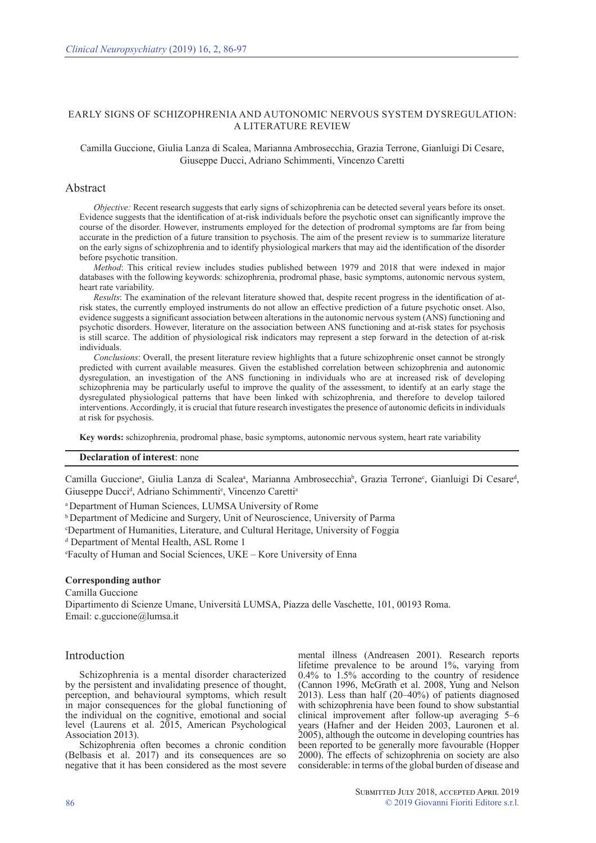# EARLY SIGNS OF SCHIZOPHRENIA AND AUTONOMIC NERVOUS SYSTEM DYSREGULATION: A LITERATURE REVIEW

## Camilla Guccione, Giulia Lanza di Scalea, Marianna Ambrosecchia, Grazia Terrone, Gianluigi Di Cesare, Giuseppe Ducci, Adriano Schimmenti, Vincenzo Caretti

## Abstract

*Objective:* Recent research suggests that early signs of schizophrenia can be detected several years before its onset. Evidence suggests that the identification of at-risk individuals before the psychotic onset can significantly improve the course of the disorder. However, instruments employed for the detection of prodromal symptoms are far from being accurate in the prediction of a future transition to psychosis. The aim of the present review is to summarize literature on the early signs of schizophrenia and to identify physiological markers that may aid the identification of the disorder before psychotic transition.

*Method*: This critical review includes studies published between 1979 and 2018 that were indexed in major databases with the following keywords: schizophrenia, prodromal phase, basic symptoms, autonomic nervous system, heart rate variability.

*Results*: The examination of the relevant literature showed that, despite recent progress in the identification of atrisk states, the currently employed instruments do not allow an effective prediction of a future psychotic onset. Also, evidence suggests a significant association between alterations in the autonomic nervous system (ANS) functioning and psychotic disorders. However, literature on the association between ANS functioning and at-risk states for psychosis is still scarce. The addition of physiological risk indicators may represent a step forward in the detection of at-risk individuals.

*Conclusions*: Overall, the present literature review highlights that a future schizophrenic onset cannot be strongly predicted with current available measures. Given the established correlation between schizophrenia and autonomic dysregulation, an investigation of the ANS functioning in individuals who are at increased risk of developing schizophrenia may be particularly useful to improve the quality of the assessment, to identify at an early stage the dysregulated physiological patterns that have been linked with schizophrenia, and therefore to develop tailored interventions. Accordingly, it is crucial that future research investigates the presence of autonomic deficits in individuals at risk for psychosis.

**Key words:** schizophrenia, prodromal phase, basic symptoms, autonomic nervous system, heart rate variability

## **Declaration of interest**: none

Camilla Guccione<sup>a</sup>, Giulia Lanza di Scalea<sup>a</sup>, Marianna Ambrosecchia<sup>b</sup>, Grazia Terrone<sup>c</sup>, Gianluigi Di Cesare<sup>d</sup>, Giuseppe Ducci<sup>d</sup>, Adriano Schimmenti<sup>e</sup>, Vincenzo Caretti<sup>a</sup>

<sup>a</sup>Department of Human Sciences, LUMSA University of Rome

**b** Department of Medicine and Surgery, Unit of Neuroscience, University of Parma

<sup>c</sup>Department of Humanities, Literature, and Cultural Heritage, University of Foggia

d Department of Mental Health, ASL Rome 1

<sup>e</sup>Faculty of Human and Social Sciences, UKE – Kore University of Enna

#### **Corresponding author**

Camilla Guccione

Dipartimento di Scienze Umane, Università LUMSA, Piazza delle Vaschette, 101, 00193 Roma. Email: c.guccione@lumsa.it

## Introduction

Schizophrenia is a mental disorder characterized by the persistent and invalidating presence of thought, perception, and behavioural symptoms, which result in major consequences for the global functioning of the individual on the cognitive, emotional and social level (Laurens et al. 2015, American Psychological Association 2013).

Schizophrenia often becomes a chronic condition (Belbasis et al. 2017) and its consequences are so negative that it has been considered as the most severe mental illness (Andreasen 2001). Research reports lifetime prevalence to be around 1%, varying from  $0.4\%$  to  $1.5\%$  according to the country of residence (Cannon 1996, McGrath et al. 2008, Yung and Nelson 2013). Less than half (20–40%) of patients diagnosed with schizophrenia have been found to show substantial clinical improvement after follow-up averaging 5–6 years (Hafner and der Heiden 2003, Lauronen et al. 2005), although the outcome in developing countries has been reported to be generally more favourable (Hopper 2000). The effects of schizophrenia on society are also considerable: in terms of the global burden of disease and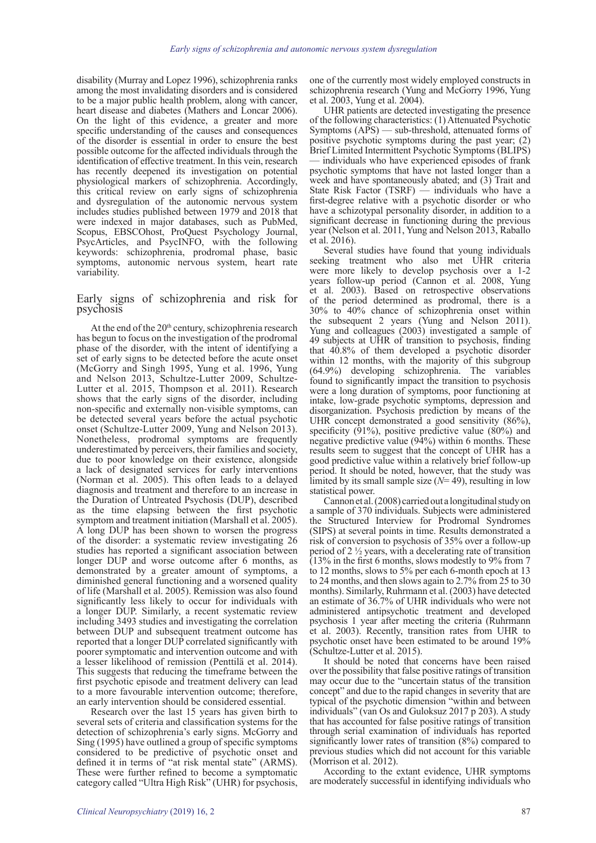disability (Murray and Lopez 1996), schizophrenia ranks among the most invalidating disorders and is considered to be a major public health problem, along with cancer, heart disease and diabetes (Mathers and Loncar 2006). On the light of this evidence, a greater and more specific understanding of the causes and consequences of the disorder is essential in order to ensure the best possible outcome for the affected individuals through the identification of effective treatment. In this vein, research has recently deepened its investigation on potential physiological markers of schizophrenia. Accordingly, this critical review on early signs of schizophrenia and dysregulation of the autonomic nervous system includes studies published between 1979 and 2018 that were indexed in major databases, such as PubMed, Scopus, EBSCOhost, ProQuest Psychology Journal, PsycArticles, and PsycINFO, with the following keywords: schizophrenia, prodromal phase, basic symptoms, autonomic nervous system, heart rate variability.

#### Early signs of schizophrenia and risk for psychosis

At the end of the  $20<sup>th</sup>$  century, schizophrenia research has begun to focus on the investigation of the prodromal phase of the disorder, with the intent of identifying a set of early signs to be detected before the acute onset (McGorry and Singh 1995, Yung et al. 1996, Yung and Nelson 2013, Schultze-Lutter 2009, Schultze-Lutter et al. 2015, Thompson et al. 2011). Research shows that the early signs of the disorder, including non-specific and externally non-visible symptoms, can be detected several years before the actual psychotic onset (Schultze-Lutter 2009, Yung and Nelson 2013). Nonetheless, prodromal symptoms are frequently underestimated by perceivers, their families and society, due to poor knowledge on their existence, alongside a lack of designated services for early interventions (Norman et al. 2005). This often leads to a delayed diagnosis and treatment and therefore to an increase in the Duration of Untreated Psychosis (DUP), described as the time elapsing between the first psychotic symptom and treatment initiation (Marshall et al. 2005). A long DUP has been shown to worsen the progress of the disorder: a systematic review investigating 26 studies has reported a significant association between longer DUP and worse outcome after 6 months, as demonstrated by a greater amount of symptoms, a diminished general functioning and a worsened quality of life (Marshall et al. 2005). Remission was also found significantly less likely to occur for individuals with a longer DUP. Similarly, a recent systematic review including 3493 studies and investigating the correlation between DUP and subsequent treatment outcome has reported that a longer DUP correlated significantly with poorer symptomatic and intervention outcome and with a lesser likelihood of remission (Penttilä et al. 2014). This suggests that reducing the timeframe between the first psychotic episode and treatment delivery can lead to a more favourable intervention outcome; therefore, an early intervention should be considered essential.

Research over the last 15 years has given birth to several sets of criteria and classification systems for the detection of schizophrenia's early signs. McGorry and Sing (1995) have outlined a group of specific symptoms considered to be predictive of psychotic onset and defined it in terms of "at risk mental state" (ARMS). These were further refined to become a symptomatic category called "Ultra High Risk" (UHR) for psychosis, one of the currently most widely employed constructs in schizophrenia research (Yung and McGorry 1996, Yung et al. 2003, Yung et al. 2004).

UHR patients are detected investigating the presence of the following characteristics: (1) Attenuated Psychotic Symptoms (APS) — sub-threshold, attenuated forms of positive psychotic symptoms during the past year; (2) Brief Limited Intermittent Psychotic Symptoms (BLIPS) individuals who have experienced episodes of frank psychotic symptoms that have not lasted longer than a week and have spontaneously abated; and (3) Trait and State Risk Factor (TSRF) — individuals who have a first-degree relative with a psychotic disorder or who have a schizotypal personality disorder, in addition to a significant decrease in functioning during the previous year (Nelson et al. 2011, Yung and Nelson 2013, Raballo et al. 2016).

Several studies have found that young individuals seeking treatment who also met UHR criteria were more likely to develop psychosis over a 1-2 years follow-up period (Cannon et al. 2008, Yung et al. 2003). Based on retrospective observations of the period determined as prodromal, there is a 30% to 40% chance of schizophrenia onset within the subsequent 2 years (Yung and Nelson 2011). Yung and colleagues (2003) investigated a sample of 49 subjects at UHR of transition to psychosis, finding that 40.8% of them developed a psychotic disorder within 12 months, with the majority of this subgroup (64.9%) developing schizophrenia. The variables found to significantly impact the transition to psychosis were a long duration of symptoms, poor functioning at intake, low-grade psychotic symptoms, depression and disorganization. Psychosis prediction by means of the UHR concept demonstrated a good sensitivity (86%), specificity (91%), positive predictive value (80%) and negative predictive value (94%) within 6 months. These results seem to suggest that the concept of UHR has a good predictive value within a relatively brief follow-up period. It should be noted, however, that the study was limited by its small sample size (*N*= 49), resulting in low statistical power.

Cannon et al. (2008) carried out a longitudinal study on a sample of 370 individuals. Subjects were administered the Structured Interview for Prodromal Syndromes (SIPS) at several points in time. Results demonstrated a risk of conversion to psychosis of 35% over a follow-up period of 2 ½ years, with a decelerating rate of transition (13% in the first 6 months, slows modestly to 9% from 7 to 12 months, slows to 5% per each 6-month epoch at 13 to 24 months, and then slows again to 2.7% from 25 to 30 months). Similarly, Ruhrmann et al. (2003) have detected an estimate of 36.7% of UHR individuals who were not administered antipsychotic treatment and developed psychosis 1 year after meeting the criteria (Ruhrmann et al. 2003). Recently, transition rates from UHR to psychotic onset have been estimated to be around 19% (Schultze-Lutter et al. 2015).

It should be noted that concerns have been raised over the possibility that false positive ratings of transition may occur due to the "uncertain status of the transition concept" and due to the rapid changes in severity that are typical of the psychotic dimension "within and between individuals" (van Os and Guloksuz 2017 p 203). A study that has accounted for false positive ratings of transition through serial examination of individuals has reported significantly lower rates of transition (8%) compared to previous studies which did not account for this variable (Morrison et al. 2012).

According to the extant evidence, UHR symptoms are moderately successful in identifying individuals who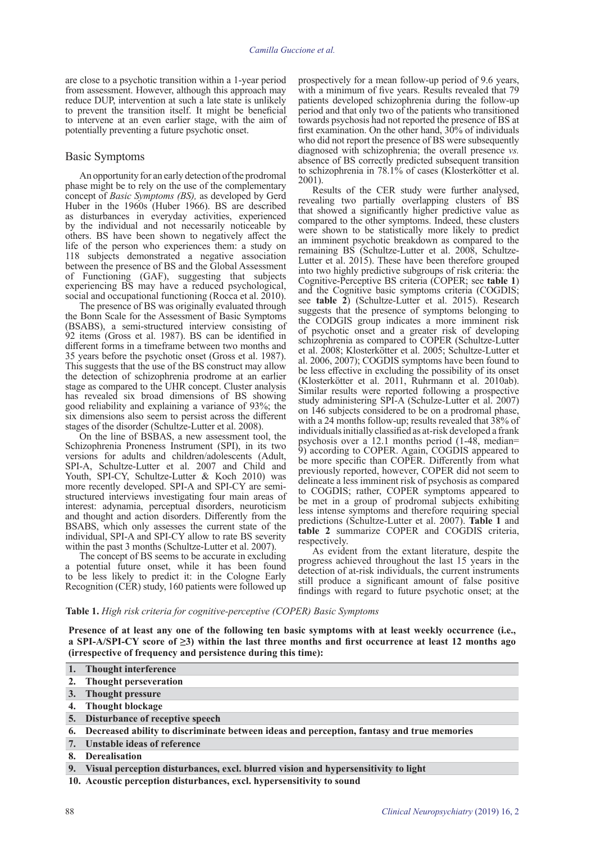are close to a psychotic transition within a 1-year period from assessment. However, although this approach may reduce DUP, intervention at such a late state is unlikely to prevent the transition itself. It might be beneficial to intervene at an even earlier stage, with the aim of potentially preventing a future psychotic onset.

#### Basic Symptoms

An opportunity for an early detection of the prodromal phase might be to rely on the use of the complementary concept of *Basic Symptoms (BS),* as developed by Gerd Huber in the 1960s (Huber 1966). BS are described as disturbances in everyday activities, experienced by the individual and not necessarily noticeable by others. BS have been shown to negatively affect the life of the person who experiences them: a study on 118 subjects demonstrated a negative association between the presence of BS and the Global Assessment of Functioning (GAF), suggesting that subjects experiencing BS may have a reduced psychological, social and occupational functioning (Rocca et al. 2010).

The presence of BS was originally evaluated through the Bonn Scale for the Assessment of Basic Symptoms (BSABS), a semi-structured interview consisting of 92 items (Gross et al. 1987). BS can be identified in different forms in a timeframe between two months and 35 years before the psychotic onset (Gross et al. 1987). This suggests that the use of the BS construct may allow the detection of schizophrenia prodrome at an earlier stage as compared to the UHR concept. Cluster analysis has revealed six broad dimensions of BS showing good reliability and explaining a variance of 93%; the six dimensions also seem to persist across the different stages of the disorder (Schultze-Lutter et al. 2008).

On the line of BSBAS, a new assessment tool, the Schizophrenia Proneness Instrument (SPI), in its two versions for adults and children/adolescents (Adult, SPI-A, Schultze-Lutter et al. 2007 and Child and Youth, SPI-CY, Schultze-Lutter & Koch 2010) was more recently developed. SPI-A and SPI-CY are semistructured interviews investigating four main areas of interest: adynamia, perceptual disorders, neuroticism and thought and action disorders. Differently from the BSABS, which only assesses the current state of the individual, SPI-A and SPI-CY allow to rate BS severity within the past 3 months (Schultze-Lutter et al. 2007).

The concept of BS seems to be accurate in excluding a potential future onset, while it has been found to be less likely to predict it: in the Cologne Early Recognition (CER) study, 160 patients were followed up prospectively for a mean follow-up period of 9.6 years, with a minimum of five years. Results revealed that 79 patients developed schizophrenia during the follow-up period and that only two of the patients who transitioned towards psychosis had not reported the presence of BS at first examination. On the other hand,  $30\%$  of individuals who did not report the presence of BS were subsequently diagnosed with schizophrenia; the overall presence *vs.* absence of BS correctly predicted subsequent transition to schizophrenia in 78.1% of cases (Klosterkötter et al. 2001).

Results of the CER study were further analysed, revealing two partially overlapping clusters of BS that showed a significantly higher predictive value as compared to the other symptoms. Indeed, these clusters were shown to be statistically more likely to predict an imminent psychotic breakdown as compared to the remaining BS (Schultze-Lutter et al. 2008, Schultze-Lutter et al. 2015). These have been therefore grouped into two highly predictive subgroups of risk criteria: the Cognitive-Perceptive BS criteria (COPER; see **table 1**) and the Cognitive basic symptoms criteria (COGDIS; see **table 2**) (Schultze-Lutter et al. 2015). Research suggests that the presence of symptoms belonging to the CODGIS group indicates a more imminent risk of psychotic onset and a greater risk of developing schizophrenia as compared to COPER (Schultze-Lutter et al. 2008; Klosterkötter et al. 2005; Schultze-Lutter et al. 2006, 2007); COGDIS symptoms have been found to be less effective in excluding the possibility of its onset (Klosterkötter et al. 2011, Ruhrmann et al. 2010ab). Similar results were reported following a prospective study administering SPI-A (Schulze-Lutter et al. 2007) on 146 subjects considered to be on a prodromal phase, with a 24 months follow-up; results revealed that 38% of individuals initially classified as at-risk developed a frank psychosis over a 12.1 months period (1-48, median= 9) according to COPER. Again, COGDIS appeared to be more specific than COPER. Differently from what previously reported, however, COPER did not seem to delineate a less imminent risk of psychosis as compared to COGDIS; rather, COPER symptoms appeared to be met in a group of prodromal subjects exhibiting less intense symptoms and therefore requiring special predictions (Schultze-Lutter et al. 2007). **Table 1** and **table 2** summarize COPER and COGDIS criteria, respectively.

As evident from the extant literature, despite the progress achieved throughout the last 15 years in the detection of at-risk individuals, the current instruments still produce a significant amount of false positive findings with regard to future psychotic onset; at the

#### **Table 1.** *High risk criteria for cognitive-perceptive (COPER) Basic Symptoms*

**Presence of at least any one of the following ten basic symptoms with at least weekly occurrence (i.e., a SPI-A/SPI-CY score of ≥3) within the last three months and first occurrence at least 12 months ago (irrespective of frequency and persistence during this time):**

- **1. Thought interference**
- **2. Thought perseveration**
- **3. Thought pressure**
- **4. Thought blockage**
- **5. Disturbance of receptive speech**
- **6. Decreased ability to discriminate between ideas and perception, fantasy and true memories**
- **7. Unstable ideas of reference**
- **8. Derealisation**
- **9. Visual perception disturbances, excl. blurred vision and hypersensitivity to light**

**10. Acoustic perception disturbances, excl. hypersensitivity to sound**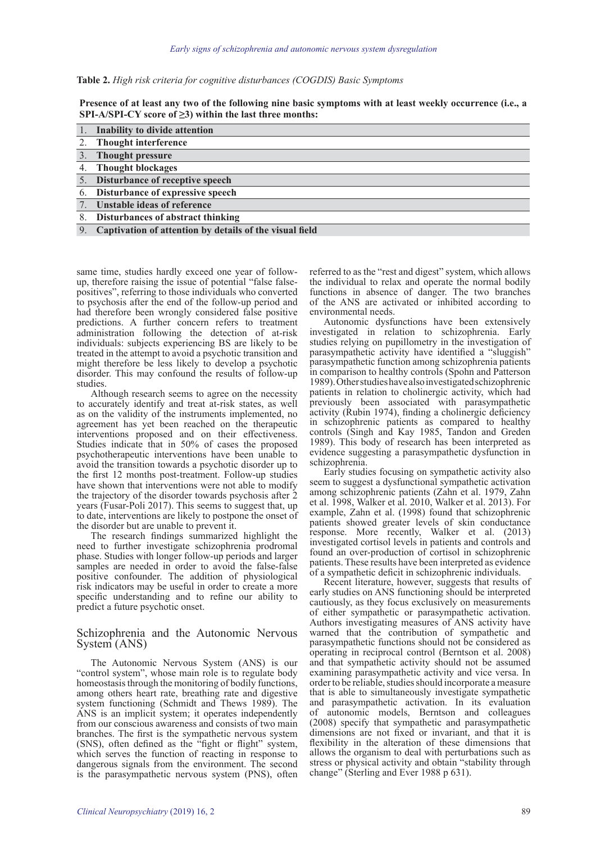| Table 2. High risk criteria for cognitive disturbances (COGDIS) Basic Symptoms |  |  |  |  |
|--------------------------------------------------------------------------------|--|--|--|--|
|--------------------------------------------------------------------------------|--|--|--|--|

**Presence of at least any two of the following nine basic symptoms with at least weekly occurrence (i.e., a SPI-A/SPI-CY score of ≥3) within the last three months:**

|    | Inability to divide attention                                  |
|----|----------------------------------------------------------------|
|    | 2. Thought interference                                        |
|    | 3. Thought pressure                                            |
|    | 4. Thought blockages                                           |
|    | 5. Disturbance of receptive speech                             |
|    | 6. Disturbance of expressive speech                            |
|    | Unstable ideas of reference                                    |
| 8. | Disturbances of abstract thinking                              |
| Q  | <b>Cantivation of attention by details of the visual field</b> |

9. **Captivation of attention by details of the visual field**

same time, studies hardly exceed one year of followup, therefore raising the issue of potential "false falsepositives", referring to those individuals who converted to psychosis after the end of the follow-up period and had therefore been wrongly considered false positive predictions. A further concern refers to treatment administration following the detection of at-risk individuals: subjects experiencing BS are likely to be treated in the attempt to avoid a psychotic transition and might therefore be less likely to develop a psychotic disorder. This may confound the results of follow-up studies.

Although research seems to agree on the necessity to accurately identify and treat at-risk states, as well as on the validity of the instruments implemented, no agreement has yet been reached on the therapeutic interventions proposed and on their effectiveness. Studies indicate that in 50% of cases the proposed psychotherapeutic interventions have been unable to avoid the transition towards a psychotic disorder up to the first 12 months post-treatment. Follow-up studies have shown that interventions were not able to modify the trajectory of the disorder towards psychosis after 2 years (Fusar-Poli 2017). This seems to suggest that, up to date, interventions are likely to postpone the onset of the disorder but are unable to prevent it.

The research findings summarized highlight the need to further investigate schizophrenia prodromal phase. Studies with longer follow-up periods and larger samples are needed in order to avoid the false-false positive confounder. The addition of physiological risk indicators may be useful in order to create a more specific understanding and to refine our ability to predict a future psychotic onset.

#### Schizophrenia and the Autonomic Nervous System (ANS)

The Autonomic Nervous System (ANS) is our "control system", whose main role is to regulate body homeostasis through the monitoring of bodily functions, among others heart rate, breathing rate and digestive system functioning (Schmidt and Thews 1989). The ANS is an implicit system; it operates independently from our conscious awareness and consists of two main branches. The first is the sympathetic nervous system (SNS), often defined as the "fight or flight" system, which serves the function of reacting in response to dangerous signals from the environment. The second is the parasympathetic nervous system (PNS), often referred to as the "rest and digest" system, which allows the individual to relax and operate the normal bodily functions in absence of danger. The two branches of the ANS are activated or inhibited according to environmental needs.

Autonomic dysfunctions have been extensively investigated in relation to schizophrenia. Early studies relying on pupillometry in the investigation of parasympathetic activity have identified a "sluggish" parasympathetic function among schizophrenia patients in comparison to healthy controls (Spohn and Patterson 1989). Other studies have also investigated schizophrenic patients in relation to cholinergic activity, which had previously been associated with parasympathetic activity (Rubin 1974), finding a cholinergic deficiency in schizophrenic patients as compared to healthy controls (Singh and Kay 1985, Tandon and Greden 1989). This body of research has been interpreted as evidence suggesting a parasympathetic dysfunction in schizophrenia.

Early studies focusing on sympathetic activity also seem to suggest a dysfunctional sympathetic activation among schizophrenic patients (Zahn et al. 1979, Zahn et al. 1998, Walker et al. 2010, Walker et al. 2013). For example, Zahn et al. (1998) found that schizophrenic patients showed greater levels of skin conductance response. More recently, Walker et al. (2013) investigated cortisol levels in patients and controls and found an over-production of cortisol in schizophrenic patients. These results have been interpreted as evidence of a sympathetic deficit in schizophrenic individuals.

Recent literature, however, suggests that results of early studies on ANS functioning should be interpreted cautiously, as they focus exclusively on measurements of either sympathetic or parasympathetic activation. Authors investigating measures of ANS activity have warned that the contribution of sympathetic and parasympathetic functions should not be considered as operating in reciprocal control (Berntson et al. 2008) and that sympathetic activity should not be assumed examining parasympathetic activity and vice versa. In order to be reliable, studies should incorporate a measure that is able to simultaneously investigate sympathetic and parasympathetic activation. In its evaluation of autonomic models, Berntson and colleagues (2008) specify that sympathetic and parasympathetic dimensions are not fixed or invariant, and that it is flexibility in the alteration of these dimensions that allows the organism to deal with perturbations such as stress or physical activity and obtain "stability through change" (Sterling and Ever 1988 p 631).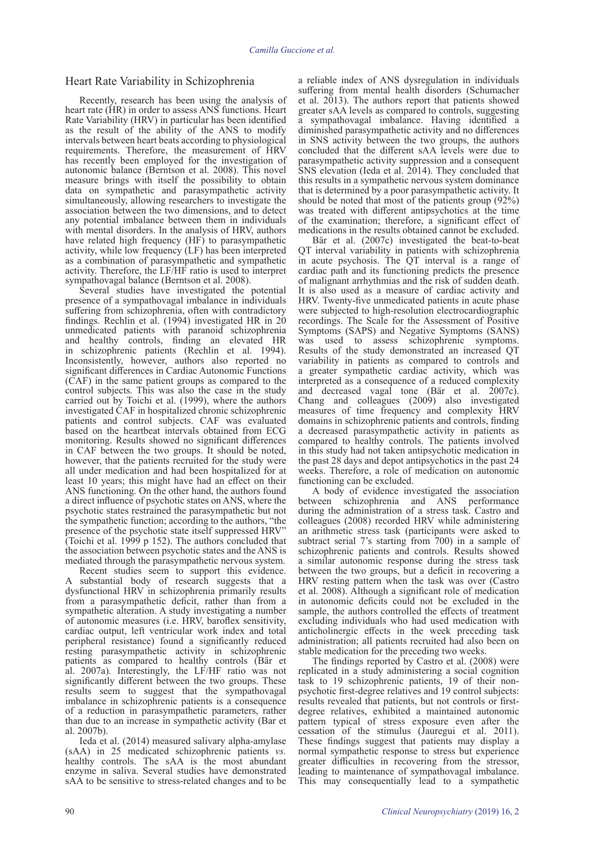## Heart Rate Variability in Schizophrenia

Recently, research has been using the analysis of heart rate (HR) in order to assess ANS functions. Heart Rate Variability (HRV) in particular has been identified as the result of the ability of the ANS to modify intervals between heart beats according to physiological requirements. Therefore, the measurement of HRV has recently been employed for the investigation of autonomic balance (Berntson et al. 2008). This novel measure brings with itself the possibility to obtain data on sympathetic and parasympathetic activity simultaneously, allowing researchers to investigate the association between the two dimensions, and to detect any potential imbalance between them in individuals with mental disorders. In the analysis of HRV, authors have related high frequency (HF) to parasympathetic activity, while low frequency (LF) has been interpreted as a combination of parasympathetic and sympathetic activity. Therefore, the LF/HF ratio is used to interpret sympathovagal balance (Berntson et al. 2008).

Several studies have investigated the potential presence of a sympathovagal imbalance in individuals suffering from schizophrenia, often with contradictory findings. Rechlin et al. (1994) investigated HR in 20 unmedicated patients with paranoid schizophrenia and healthy controls, finding an elevated HR in schizophrenic patients (Rechlin et al. 1994). Inconsistently, however, authors also reported no significant differences in Cardiac Autonomic Functions (CAF) in the same patient groups as compared to the control subjects. This was also the case in the study carried out by Toichi et al. (1999), where the authors investigated CAF in hospitalized chronic schizophrenic patients and control subjects. CAF was evaluated based on the heartbeat intervals obtained from ECG monitoring. Results showed no significant differences in CAF between the two groups. It should be noted, however, that the patients recruited for the study were all under medication and had been hospitalized for at least 10 years; this might have had an effect on their ANS functioning. On the other hand, the authors found a direct influence of psychotic states on ANS, where the psychotic states restrained the parasympathetic but not the sympathetic function; according to the authors, "the presence of the psychotic state itself suppressed HRV" (Toichi et al. 1999 p 152). The authors concluded that the association between psychotic states and the ANS is mediated through the parasympathetic nervous system.

Recent studies seem to support this evidence. A substantial body of research suggests that a dysfunctional HRV in schizophrenia primarily results from a parasympathetic deficit, rather than from a sympathetic alteration. A study investigating a number of autonomic measures (i.e. HRV, baroflex sensitivity, cardiac output, left ventricular work index and total peripheral resistance) found a significantly reduced resting parasympathetic activity in schizophrenic patients as compared to healthy controls (Bär et al. 2007a). Interestingly, the LF/HF ratio was not significantly different between the two groups. These results seem to suggest that the sympathovagal imbalance in schizophrenic patients is a consequence of a reduction in parasympathetic parameters, rather than due to an increase in sympathetic activity (Bar et al. 2007b).

Ieda et al. (2014) measured salivary alpha-amylase (sAA) in 25 medicated schizophrenic patients *vs.*  healthy controls. The sAA is the most abundant enzyme in saliva. Several studies have demonstrated sAA to be sensitive to stress-related changes and to be

a reliable index of ANS dysregulation in individuals suffering from mental health disorders (Schumacher et al. 2013). The authors report that patients showed greater sAA levels as compared to controls, suggesting a sympathovagal imbalance. Having identified a diminished parasympathetic activity and no differences in SNS activity between the two groups, the authors concluded that the different sAA levels were due to parasympathetic activity suppression and a consequent SNS elevation (Ieda et al. 2014). They concluded that this results in a sympathetic nervous system dominance that is determined by a poor parasympathetic activity. It should be noted that most of the patients group (92%) was treated with different antipsychotics at the time of the examination; therefore, a significant effect of medications in the results obtained cannot be excluded.

Bӓr et al. (2007c) investigated the beat-to-beat QT interval variability in patients with schizophrenia in acute psychosis. The QT interval is a range of cardiac path and its functioning predicts the presence of malignant arrhythmias and the risk of sudden death. It is also used as a measure of cardiac activity and HRV. Twenty-five unmedicated patients in acute phase were subjected to high-resolution electrocardiographic recordings. The Scale for the Assessment of Positive Symptoms (SAPS) and Negative Symptoms (SANS) was used to assess schizophrenic symptoms. Results of the study demonstrated an increased QT variability in patients as compared to controls and a greater sympathetic cardiac activity, which was interpreted as a consequence of a reduced complexity and decreased vagal tone (Bär et al. 2007c). Chang and colleagues (2009) also investigated measures of time frequency and complexity HRV domains in schizophrenic patients and controls, finding a decreased parasympathetic activity in patients as compared to healthy controls. The patients involved in this study had not taken antipsychotic medication in the past 28 days and depot antipsychotics in the past 24 weeks. Therefore, a role of medication on autonomic functioning can be excluded.

A body of evidence investigated the association between schizophrenia and ANS performance during the administration of a stress task. Castro and colleagues (2008) recorded HRV while administering an arithmetic stress task (participants were asked to subtract serial 7's starting from 700) in a sample of schizophrenic patients and controls. Results showed a similar autonomic response during the stress task between the two groups, but a deficit in recovering a HRV resting pattern when the task was over (Castro et al. 2008). Although a significant role of medication in autonomic deficits could not be excluded in the sample, the authors controlled the effects of treatment excluding individuals who had used medication with anticholinergic effects in the week preceding task administration; all patients recruited had also been on stable medication for the preceding two weeks.

The findings reported by Castro et al. (2008) were replicated in a study administering a social cognition task to 19 schizophrenic patients, 19 of their nonpsychotic first-degree relatives and 19 control subjects: results revealed that patients, but not controls or firstdegree relatives, exhibited a maintained autonomic pattern typical of stress exposure even after the cessation of the stimulus (Jauregui et al. 2011). These findings suggest that patients may display a normal sympathetic response to stress but experience greater difficulties in recovering from the stressor, leading to maintenance of sympathovagal imbalance. This may consequentially lead to a sympathetic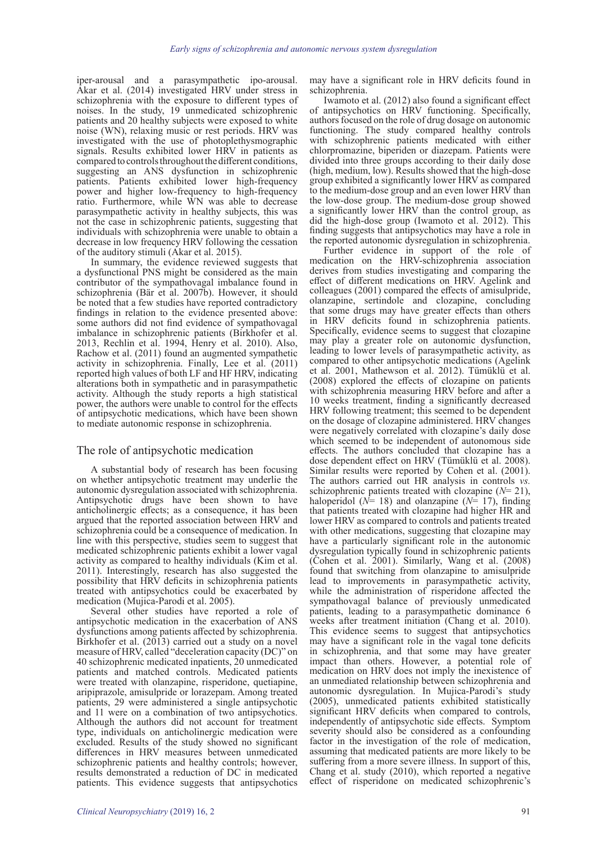iper-arousal and a parasympathetic ipo-arousal. Akar et al. (2014) investigated HRV under stress in schizophrenia with the exposure to different types of noises. In the study, 19 unmedicated schizophrenic patients and 20 healthy subjects were exposed to white noise (WN), relaxing music or rest periods. HRV was investigated with the use of photoplethysmographic signals. Results exhibited lower HRV in patients as compared to controls throughout the different conditions, suggesting an ANS dysfunction in schizophrenic patients. Patients exhibited lower high-frequency power and higher low-frequency to high-frequency ratio. Furthermore, while WN was able to decrease parasympathetic activity in healthy subjects, this was not the case in schizophrenic patients, suggesting that individuals with schizophrenia were unable to obtain a decrease in low frequency HRV following the cessation of the auditory stimuli (Akar et al. 2015).

In summary, the evidence reviewed suggests that a dysfunctional PNS might be considered as the main contributor of the sympathovagal imbalance found in schizophrenia (Bär et al. 2007b). However, it should be noted that a few studies have reported contradictory findings in relation to the evidence presented above: some authors did not find evidence of sympathovagal imbalance in schizophrenic patients (Birkhofer et al. 2013, Rechlin et al. 1994, Henry et al. 2010). Also, Rachow et al. (2011) found an augmented sympathetic activity in schizophrenia. Finally, Lee et al. (2011) reported high values of both LF and HF HRV, indicating alterations both in sympathetic and in parasympathetic activity. Although the study reports a high statistical power, the authors were unable to control for the effects of antipsychotic medications, which have been shown to mediate autonomic response in schizophrenia.

# The role of antipsychotic medication

A substantial body of research has been focusing on whether antipsychotic treatment may underlie the autonomic dysregulation associated with schizophrenia. Antipsychotic drugs have been shown to have anticholinergic effects; as a consequence, it has been argued that the reported association between HRV and schizophrenia could be a consequence of medication. In line with this perspective, studies seem to suggest that medicated schizophrenic patients exhibit a lower vagal activity as compared to healthy individuals (Kim et al. 2011). Interestingly, research has also suggested the possibility that HRV deficits in schizophrenia patients treated with antipsychotics could be exacerbated by medication (Mujica-Parodi et al. 2005).

Several other studies have reported a role of antipsychotic medication in the exacerbation of ANS dysfunctions among patients affected by schizophrenia. Birkhofer et al. (2013) carried out a study on a novel measure of HRV, called "deceleration capacity (DC)" on 40 schizophrenic medicated inpatients, 20 unmedicated patients and matched controls. Medicated patients were treated with olanzapine, risperidone, quetiapine, aripiprazole, amisulpride or lorazepam. Among treated patients, 29 were administered a single antipsychotic and 11 were on a combination of two antipsychotics. Although the authors did not account for treatment type, individuals on anticholinergic medication were excluded. Results of the study showed no significant differences in HRV measures between unmedicated schizophrenic patients and healthy controls; however, results demonstrated a reduction of DC in medicated patients. This evidence suggests that antipsychotics

may have a significant role in HRV deficits found in schizophrenia.

Iwamoto et al. (2012) also found a significant effect of antipsychotics on HRV functioning. Specifically, authors focused on the role of drug dosage on autonomic functioning. The study compared healthy controls with schizophrenic patients medicated with either chlorpromazine, biperiden or diazepam. Patients were divided into three groups according to their daily dose (high, medium, low). Results showed that the high-dose group exhibited a significantly lower HRV as compared to the medium-dose group and an even lower HRV than the low-dose group. The medium-dose group showed a significantly lower HRV than the control group, as did the high-dose group (Iwamoto et al. 2012). This finding suggests that antipsychotics may have a role in the reported autonomic dysregulation in schizophrenia.

Further evidence in support of the role of medication on the HRV-schizophrenia association derives from studies investigating and comparing the effect of different medications on HRV. Agelink and colleagues (2001) compared the effects of amisulpride, olanzapine, sertindole and clozapine, concluding that some drugs may have greater effects than others in HRV deficits found in schizophrenia patients. Specifically, evidence seems to suggest that clozapine may play a greater role on autonomic dysfunction, leading to lower levels of parasympathetic activity, as compared to other antipsychotic medications (Agelink et al. 2001, Mathewson et al. 2012). Tümüklü et al. (2008) explored the effects of clozapine on patients with schizophrenia measuring HRV before and after a 10 weeks treatment, finding a significantly decreased HRV following treatment; this seemed to be dependent on the dosage of clozapine administered. HRV changes were negatively correlated with clozapine's daily dose which seemed to be independent of autonomous side effects. The authors concluded that clozapine has a dose dependent effect on HRV (Tümüklü et al. 2008). Similar results were reported by Cohen et al. (2001). The authors carried out HR analysis in controls *vs.* schizophrenic patients treated with clozapine (*N*= 21), haloperidol ( $N=18$ ) and olanzapine ( $N=17$ ), finding that patients treated with clozapine had higher HR and lower HRV as compared to controls and patients treated with other medications, suggesting that clozapine may have a particularly significant role in the autonomic dysregulation typically found in schizophrenic patients (Cohen et al. 2001). Similarly, Wang et al. (2008) found that switching from olanzapine to amisulpride lead to improvements in parasympathetic activity, while the administration of risperidone affected the sympathovagal balance of previously unmedicated patients, leading to a parasympathetic dominance 6 weeks after treatment initiation (Chang et al. 2010). This evidence seems to suggest that antipsychotics may have a significant role in the vagal tone deficits in schizophrenia, and that some may have greater impact than others. However, a potential role of medication on HRV does not imply the inexistence of an unmediated relationship between schizophrenia and autonomic dysregulation. In Mujica-Parodi's study (2005), unmedicated patients exhibited statistically significant HRV deficits when compared to controls, independently of antipsychotic side effects. Symptom severity should also be considered as a confounding factor in the investigation of the role of medication, assuming that medicated patients are more likely to be suffering from a more severe illness. In support of this, Chang et al. study (2010), which reported a negative effect of risperidone on medicated schizophrenic's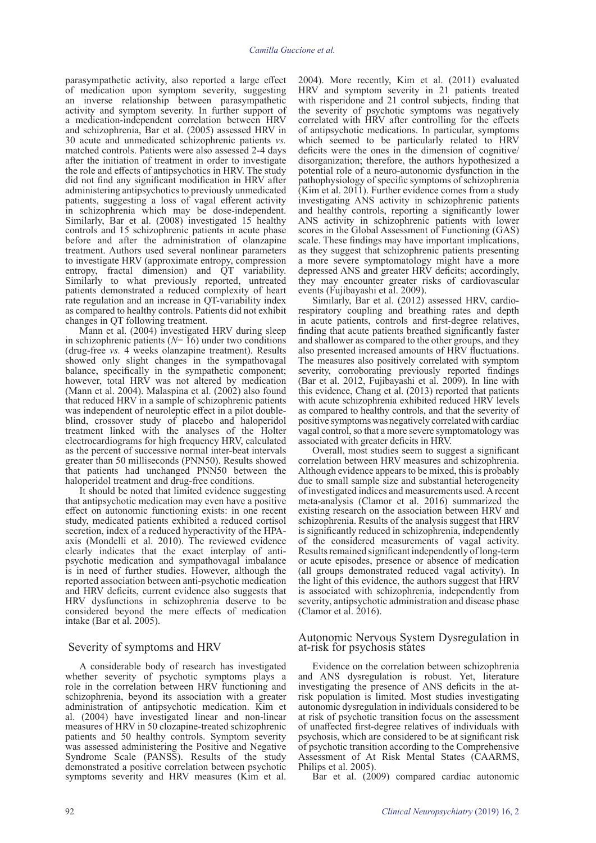parasympathetic activity, also reported a large effect of medication upon symptom severity, suggesting an inverse relationship between parasympathetic activity and symptom severity. In further support of a medication-independent correlation between HRV and schizophrenia, Bar et al. (2005) assessed HRV in 30 acute and unmedicated schizophrenic patients *vs.* matched controls. Patients were also assessed 2-4 days after the initiation of treatment in order to investigate the role and effects of antipsychotics in HRV. The study did not find any significant modification in HRV after administering antipsychotics to previously unmedicated patients, suggesting a loss of vagal efferent activity in schizophrenia which may be dose-independent. Similarly, Bar et al. (2008) investigated 15 healthy controls and 15 schizophrenic patients in acute phase before and after the administration of olanzapine treatment. Authors used several nonlinear parameters to investigate HRV (approximate entropy, compression entropy, fractal dimension) and QT variability. Similarly to what previously reported, untreated patients demonstrated a reduced complexity of heart rate regulation and an increase in QT-variability index as compared to healthy controls. Patients did not exhibit changes in QT following treatment.

Mann et al. (2004) investigated HRV during sleep in schizophrenic patients  $(N=16)$  under two conditions (drug-free *vs.* 4 weeks olanzapine treatment). Results showed only slight changes in the sympathovagal balance, specifically in the sympathetic component; however, total HRV was not altered by medication (Mann et al. 2004). Malaspina et al. (2002) also found that reduced HRV in a sample of schizophrenic patients was independent of neuroleptic effect in a pilot doubleblind, crossover study of placebo and haloperidol treatment linked with the analyses of the Holter electrocardiograms for high frequency HRV, calculated as the percent of successive normal inter-beat intervals greater than 50 milliseconds (PNN50). Results showed that patients had unchanged PNN50 between the haloperidol treatment and drug-free conditions.

It should be noted that limited evidence suggesting that antipsychotic medication may even have a positive effect on autonomic functioning exists: in one recent study, medicated patients exhibited a reduced cortisol secretion, index of a reduced hyperactivity of the HPAaxis (Mondelli et al. 2010). The reviewed evidence clearly indicates that the exact interplay of antipsychotic medication and sympathovagal imbalance is in need of further studies. However, although the reported association between anti-psychotic medication and HRV deficits, current evidence also suggests that HRV dysfunctions in schizophrenia deserve to be considered beyond the mere effects of medication intake (Bar et al. 2005).

#### Severity of symptoms and HRV

A considerable body of research has investigated whether severity of psychotic symptoms plays a role in the correlation between HRV functioning and schizophrenia, beyond its association with a greater administration of antipsychotic medication. Kim et al. (2004) have investigated linear and non-linear measures of HRV in 50 clozapine-treated schizophrenic patients and 50 healthy controls. Symptom severity was assessed administering the Positive and Negative Syndrome Scale (PANSS). Results of the study demonstrated a positive correlation between psychotic symptoms severity and HRV measures (Kim et al.

2004). More recently, Kim et al. (2011) evaluated HRV and symptom severity in 21 patients treated with risperidone and 21 control subjects, finding that the severity of psychotic symptoms was negatively correlated with HRV after controlling for the effects of antipsychotic medications. In particular, symptoms which seemed to be particularly related to HRV deficits were the ones in the dimension of cognitive/ disorganization; therefore, the authors hypothesized a potential role of a neuro-autonomic dysfunction in the pathophysiology of specific symptoms of schizophrenia (Kim et al. 2011). Further evidence comes from a study investigating ANS activity in schizophrenic patients and healthy controls, reporting a significantly lower ANS activity in schizophrenic patients with lower scores in the Global Assessment of Functioning (GAS) scale. These findings may have important implications, as they suggest that schizophrenic patients presenting a more severe symptomatology might have a more depressed ANS and greater HRV deficits; accordingly, they may encounter greater risks of cardiovascular events (Fujibayashi et al. 2009).

Similarly, Bar et al. (2012) assessed HRV, cardiorespiratory coupling and breathing rates and depth in acute patients, controls and first-degree relatives, finding that acute patients breathed significantly faster and shallower as compared to the other groups, and they also presented increased amounts of HRV fluctuations. The measures also positively correlated with symptom severity, corroborating previously reported findings (Bar et al. 2012, Fujibayashi et al. 2009). In line with this evidence, Chang et al. (2013) reported that patients with acute schizophrenia exhibited reduced HRV levels as compared to healthy controls, and that the severity of positive symptoms was negatively correlated with cardiac vagal control, so that a more severe symptomatology was associated with greater deficits in HRV.

Overall, most studies seem to suggest a significant correlation between HRV measures and schizophrenia. Although evidence appears to be mixed, this is probably due to small sample size and substantial heterogeneity of investigated indices and measurements used. A recent meta-analysis (Clamor et al. 2016) summarized the existing research on the association between HRV and schizophrenia. Results of the analysis suggest that HRV is significantly reduced in schizophrenia, independently of the considered measurements of vagal activity. Results remained significant independently of long-term or acute episodes, presence or absence of medication (all groups demonstrated reduced vagal activity). In the light of this evidence, the authors suggest that HRV is associated with schizophrenia, independently from severity, antipsychotic administration and disease phase (Clamor et al.  $2016$ ).

#### Autonomic Nervous System Dysregulation in at-risk for psychosis states

Evidence on the correlation between schizophrenia and ANS dysregulation is robust. Yet, literature investigating the presence of ANS deficits in the atrisk population is limited. Most studies investigating autonomic dysregulation in individuals considered to be at risk of psychotic transition focus on the assessment of unaffected first-degree relatives of individuals with psychosis, which are considered to be at significant risk of psychotic transition according to the Comprehensive Assessment of At Risk Mental States (CAARMS, Philips et al. 2005).

Bar et al. (2009) compared cardiac autonomic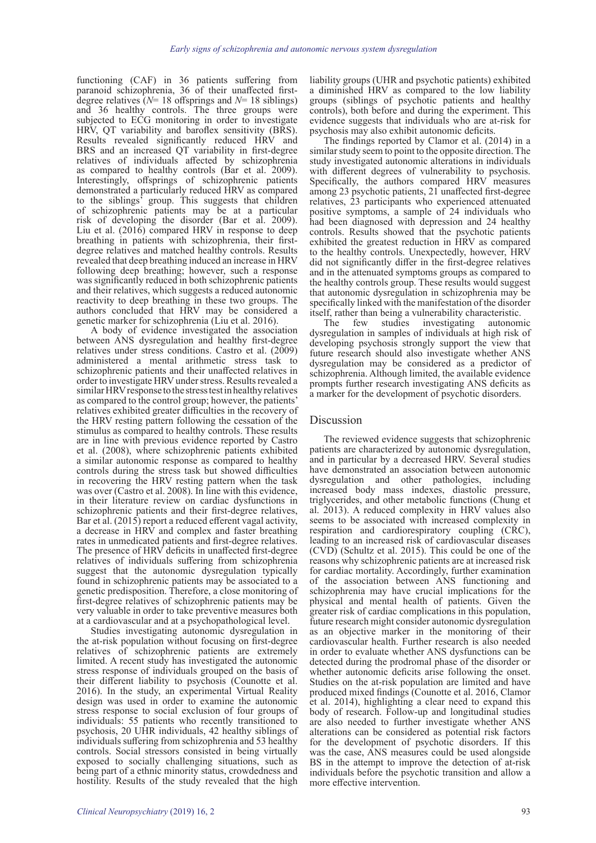functioning (CAF) in 36 patients suffering from paranoid schizophrenia, 36 of their unaffected firstdegree relatives (*N*= 18 offsprings and *N*= 18 siblings) and 36 healthy controls. The three groups were subjected to ECG monitoring in order to investigate HRV, QT variability and baroflex sensitivity (BRS). Results revealed significantly reduced HRV and BRS and an increased QT variability in first-degree relatives of individuals affected by schizophrenia as compared to healthy controls (Bar et al. 2009). Interestingly, offsprings of schizophrenic patients demonstrated a particularly reduced HRV as compared to the siblings' group. This suggests that children of schizophrenic patients may be at a particular risk of developing the disorder (Bar et al. 2009). Liu et al. (2016) compared HRV in response to deep breathing in patients with schizophrenia, their firstdegree relatives and matched healthy controls. Results revealed that deep breathing induced an increase in HRV following deep breathing; however, such a response was significantly reduced in both schizophrenic patients and their relatives, which suggests a reduced autonomic reactivity to deep breathing in these two groups. The authors concluded that HRV may be considered a genetic marker for schizophrenia (Liu et al. 2016).

A body of evidence investigated the association between ANS dysregulation and healthy first-degree relatives under stress conditions. Castro et al. (2009) administered a mental arithmetic stress task to schizophrenic patients and their unaffected relatives in order to investigate HRV under stress. Results revealed a similar HRV response to the stress test in healthy relatives as compared to the control group; however, the patients' relatives exhibited greater difficulties in the recovery of the HRV resting pattern following the cessation of the stimulus as compared to healthy controls. These results are in line with previous evidence reported by Castro et al. (2008), where schizophrenic patients exhibited a similar autonomic response as compared to healthy controls during the stress task but showed difficulties in recovering the HRV resting pattern when the task was over (Castro et al. 2008). In line with this evidence, in their literature review on cardiac dysfunctions in schizophrenic patients and their first-degree relatives, Bar et al. (2015) report a reduced efferent vagal activity, a decrease in HRV and complex and faster breathing rates in unmedicated patients and first-degree relatives. The presence of HRV deficits in unaffected first-degree relatives of individuals suffering from schizophrenia suggest that the autonomic dysregulation typically found in schizophrenic patients may be associated to a genetic predisposition. Therefore, a close monitoring of first-degree relatives of schizophrenic patients may be very valuable in order to take preventive measures both at a cardiovascular and at a psychopathological level.

Studies investigating autonomic dysregulation in the at-risk population without focusing on first-degree relatives of schizophrenic patients are extremely limited. A recent study has investigated the autonomic stress response of individuals grouped on the basis of their different liability to psychosis (Counotte et al. 2016). In the study, an experimental Virtual Reality design was used in order to examine the autonomic stress response to social exclusion of four groups of individuals: 55 patients who recently transitioned to psychosis, 20 UHR individuals, 42 healthy siblings of individuals suffering from schizophrenia and 53 healthy controls. Social stressors consisted in being virtually exposed to socially challenging situations, such as being part of a ethnic minority status, crowdedness and hostility. Results of the study revealed that the high

liability groups (UHR and psychotic patients) exhibited a diminished HRV as compared to the low liability groups (siblings of psychotic patients and healthy controls), both before and during the experiment. This evidence suggests that individuals who are at-risk for psychosis may also exhibit autonomic deficits.

The findings reported by Clamor et al. (2014) in a similar study seem to point to the opposite direction. The study investigated autonomic alterations in individuals with different degrees of vulnerability to psychosis. Specifically, the authors compared HRV measures among 23 psychotic patients, 21 unaffected first-degree relatives, 23 participants who experienced attenuated positive symptoms, a sample of 24 individuals who had been diagnosed with depression and 24 healthy controls. Results showed that the psychotic patients exhibited the greatest reduction in HRV as compared to the healthy controls. Unexpectedly, however, HRV did not significantly differ in the first-degree relatives and in the attenuated symptoms groups as compared to the healthy controls group. These results would suggest that autonomic dysregulation in schizophrenia may be specifically linked with the manifestation of the disorder

itself, rather than being a vulnerability characteristic. investigating dysregulation in samples of individuals at high risk of developing psychosis strongly support the view that future research should also investigate whether ANS dysregulation may be considered as a predictor of schizophrenia. Although limited, the available evidence prompts further research investigating ANS deficits as a marker for the development of psychotic disorders.

#### Discussion

The reviewed evidence suggests that schizophrenic patients are characterized by autonomic dysregulation, and in particular by a decreased HRV. Several studies have demonstrated an association between autonomic dysregulation and other pathologies, including increased body mass indexes, diastolic pressure, triglycerides, and other metabolic functions (Chung et al. 2013). A reduced complexity in HRV values also seems to be associated with increased complexity in respiration and cardiorespiratory coupling (CRC), leading to an increased risk of cardiovascular diseases (CVD) (Schultz et al. 2015). This could be one of the reasons why schizophrenic patients are at increased risk for cardiac mortality. Accordingly, further examination of the association between ANS functioning and schizophrenia may have crucial implications for the physical and mental health of patients. Given the greater risk of cardiac complications in this population, future research might consider autonomic dysregulation as an objective marker in the monitoring of their cardiovascular health. Further research is also needed in order to evaluate whether ANS dysfunctions can be detected during the prodromal phase of the disorder or whether autonomic deficits arise following the onset. Studies on the at-risk population are limited and have produced mixed findings (Counotte et al. 2016, Clamor et al. 2014), highlighting a clear need to expand this body of research. Follow-up and longitudinal studies are also needed to further investigate whether ANS alterations can be considered as potential risk factors for the development of psychotic disorders. If this was the case, ANS measures could be used alongside BS in the attempt to improve the detection of at-risk individuals before the psychotic transition and allow a more effective intervention.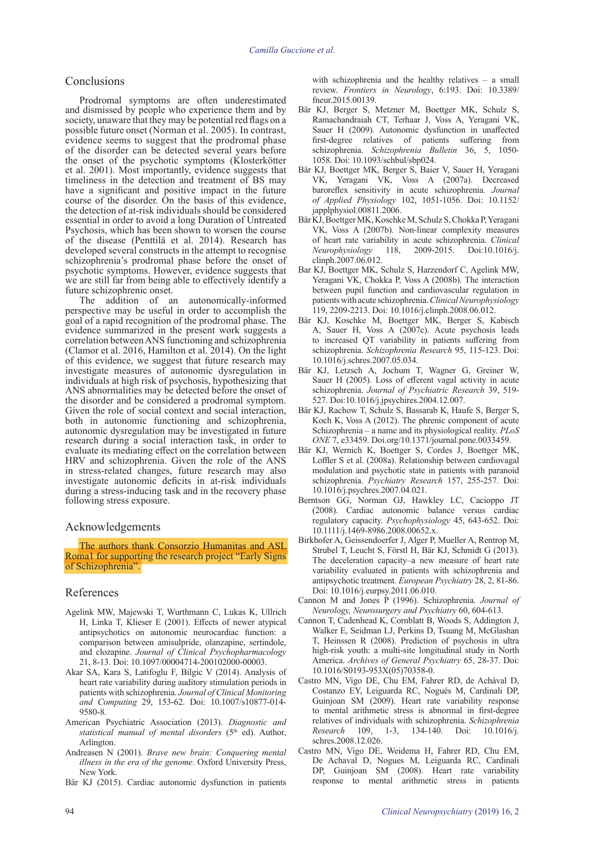## Conclusions

Prodromal symptoms are often underestimated and dismissed by people who experience them and by society, unaware that they may be potential red flags on a possible future onset (Norman et al. 2005). In contrast, evidence seems to suggest that the prodromal phase of the disorder can be detected several years before the onset of the psychotic symptoms (Klosterkötter et al. 2001). Most importantly, evidence suggests that timeliness in the detection and treatment of BS may have a significant and positive impact in the future course of the disorder. On the basis of this evidence, the detection of at-risk individuals should be considered essential in order to avoid a long Duration of Untreated Psychosis, which has been shown to worsen the course of the disease (Penttilä et al. 2014). Research has developed several constructs in the attempt to recognise schizophrenia's prodromal phase before the onset of psychotic symptoms. However, evidence suggests that we are still far from being able to effectively identify a future schizophrenic onset.

The addition of an autonomically-informed perspective may be useful in order to accomplish the goal of a rapid recognition of the prodromal phase. The evidence summarized in the present work suggests a correlation between ANS functioning and schizophrenia (Clamor et al. 2016, Hamilton et al. 2014). On the light of this evidence, we suggest that future research may investigate measures of autonomic dysregulation in individuals at high risk of psychosis, hypothesizing that ANS abnormalities may be detected before the onset of the disorder and be considered a prodromal symptom. Given the role of social context and social interaction, both in autonomic functioning and schizophrenia, autonomic dysregulation may be investigated in future research during a social interaction task, in order to evaluate its mediating effect on the correlation between HRV and schizophrenia. Given the role of the ANS in stress-related changes, future research may also investigate autonomic deficits in at-risk individuals during a stress-inducing task and in the recovery phase following stress exposure.

## Acknowledgements

The authors thank Consorzio Humanitas and ASL Roma1 for supporting the research project "Early Signs of Schizophrenia".

# References

- Agelink MW, Majewski T, Wurthmann C, Lukas K, Ullrich H, Linka T, Klieser E (2001). Effects of newer atypical antipsychotics on autonomic neurocardiac function: a comparison between amisulpride, olanzapine, sertindole, and clozapine. *Journal of Clinical Psychopharmacology* 21, 8-13. Doi: 10.1097/00004714-200102000-00003.
- Akar SA, Kara S, Latifoglu F, Bilgic V (2014). Analysis of heart rate variability during auditory stimulation periods in patients with schizophrenia. *Journal of Clinical Monitoring and Computing* 29, 153-62. Doi: 10.1007/s10877-014- 9580-8.
- American Psychiatric Association (2013). *Diagnostic and*  statistical manual of mental disorders (5<sup>th</sup> ed). Author, Arlington.
- Andreasen N (2001). *Brave new brain: Conquering mental illness in the era of the genome*. Oxford University Press, New York.
- Bär KJ (2015). Cardiac autonomic dysfunction in patients

- The deceleration capacity–a new measure of heart rate variability evaluated in patients with schizophrenia and antipsychotic treatment. *European Psychiatry* 28, 2, 81-86. Doi: 10.1016/j.eurpsy.2011.06.010.
- Cannon M and Jones P (1996). Schizophrenia. *Journal of Neurology, Neurosurgery and Psychiatry* 60, 604-613.
- Cannon T, Cadenhead K, Cornblatt B, Woods S, Addington J, Walker E, Seidman LJ, Perkins D, Tsuang M, McGlashan T, Heinssen R (2008). Prediction of psychosis in ultra high-risk youth: a multi-site longitudinal study in North America. *Archives of General Psychiatry* 65, 28-37. Doi: 10.1016/S0193-953X(05)70358-0.
- Castro MN, Vigo DE, Chu EM, Fahrer RD, de Achával D, Costanzo EY, Leiguarda RC, Nogués M, Cardinali DP, Guinjoan SM (2009). Heart rate variability response to mental arithmetic stress is abnormal in first-degree relatives of individuals with schizophrenia. *Schizophrenia Research* 109, 1-3, 134-140. Doi: 10.1016/j. schres.2008.12.026.
- Castro MN, Vigo DE, Weidema H, Fahrer RD, Chu EM, De Achaval D, Nogues M, Leiguarda RC, Cardinali DP, Guinjoan SM (2008). Heart rate variability response to mental arithmetic stress in patients
- Bär KJ, Berger S, Metzner M, Boettger MK, Schulz S, Ramachandraiah CT, Terhaar J, Voss A, Yeragani VK, Sauer H (2009). Autonomic dysfunction in unaffected first-degree relatives of patients suffering from schizophrenia. *Schizophrenia Bulletin* 36, 5, 1050- 1058. Doi: 10.1093/schbul/sbp024.
- Bär KJ, Boettger MK, Berger S, Baier V, Sauer H, Yeragani VK, Yeragani VK, Voss A (2007a). Decreased baroreflex sensitivity in acute schizophrenia. *Journal of Applied Physiology* 102, 1051-1056. Doi: 10.1152/ japplphysiol.00811.2006.
- Bär KJ, Boettger MK, Koschke M, Schulz S, Chokka P, Yeragani VK, Voss A (2007b). Non-linear complexity measures of heart rate variability in acute schizophrenia. *Clinical Neurophysiology* 118, 2009-2015. Doi:10.1016/j. clinph.2007.06.012.
- Bar KJ, Boettger MK, Schulz S, Harzendorf C, Agelink MW, Yeragani VK, Chokka P, Voss A (2008b). The interaction between pupil function and cardiovascular regulation in patients with acute schizophrenia. *Clinical Neurophysiology* 119, 2209-2213. Doi: 10.1016/j.clinph.2008.06.012.
- Bär KJ, Koschke M, Boettger MK, Berger S, Kabisch A, Sauer H, Voss A (2007c). Acute psychosis leads to increased QT variability in patients suffering from schizophrenia. *Schizophrenia Research* 95, 115-123. Doi: 10.1016/j.schres.2007.05.034.
- Bär KJ, Letzsch A, Jochum T, Wagner G, Greiner W, Sauer H (2005). Loss of efferent vagal activity in acute schizophrenia. *Journal of Psychiatric Research* 39, 519- 527. Doi:10.1016/j.jpsychires.2004.12.007.
- Bär KJ, Rachow T, Schulz S, Bassarab K, Haufe S, Berger S, Koch K, Voss A (2012). The phrenic component of acute Schizophrenia – a name and its physiological reality. *PLoS ONE* 7, e33459. Doi.org/10.1371/journal.pone.0033459.
- Bär KJ, Wernich K, Boettger S, Cordes J, Boettger MK, Loffler S et al. (2008a). Relationship between cardiovagal modulation and psychotic state in patients with paranoid schizophrenia. *Psychiatry Research* 157, 255-257. Doi: 10.1016/j.psychres.2007.04.021.
- Berntson GG, Norman GJ, Hawkley LC, Cacioppo JT (2008). Cardiac autonomic balance versus cardiac regulatory capacity. *Psychophysiology* 45, 643-652. Doi: 10.1111/j.1469-8986.2008.00652.x.

Birkhofer A, Geissendoerfer J, Alger P, Mueller A, Rentrop M, Strubel T, Leucht S, Förstl H, Bär KJ, Schmidt G (2013).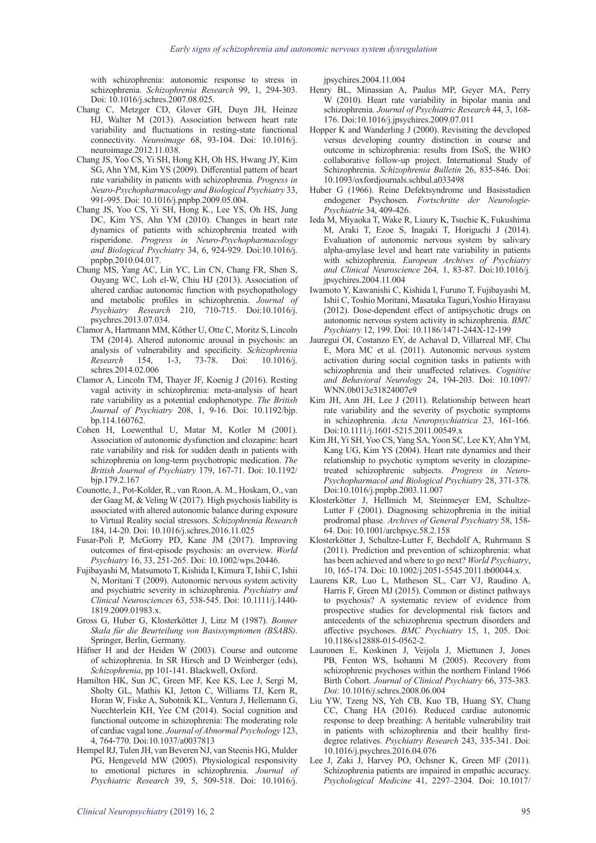with schizophrenia: autonomic response to stress in schizophrenia. *Schizophrenia Research* 99, 1, 294-303. Doi: 10.1016/j.schres.2007.08.025.

- Chang C, Metzger CD, Glover GH, Duyn JH, Heinze HJ, Walter M (2013). Association between heart rate variability and fluctuations in resting-state functional connectivity. *Neuroimage* 68, 93-104. Doi: 10.1016/j. neuroimage.2012.11.038.
- Chang JS, Yoo CS, Yi SH, Hong KH, Oh HS, Hwang JY, Kim SG, Ahn YM, Kim YS (2009). Differential pattern of heart rate variability in patients with schizophrenia. *Progress in Neuro-Psychopharmacology and Biological Psychiatry* 33, 991-995. Doi: 10.1016/j.pnpbp.2009.05.004.
- Chang JS, Yoo CS, Yi SH, Hong K., Lee YS, Oh HS, Jung DC, Kim YS, Ahn YM (2010). Changes in heart rate dynamics of patients with schizophrenia treated with risperidone. *Progress in Neuro-Psychopharmacology and Biological Psychiatry* 34, 6, 924-929. Doi:10.1016/j. pnpbp.2010.04.017.
- Chung MS, Yang AC, Lin YC, Lin CN, Chang FR, Shen S, Ouyang WC, Loh el-W, Chiu HJ (2013). Association of altered cardiac autonomic function with psychopathology and metabolic profiles in schizophrenia. *Journal of Psychiatry Research* 210, 710-715. Doi:10.1016/j. psychres.2013.07.034.
- Clamor A, Hartmann MM, Köther U, Otte C, Moritz S, Lincoln TM (2014). Altered autonomic arousal in psychosis: an analysis of vulnerability and specificity. *Schizophrenia Research* 154, 1-3, 73-78. Doi: 10.1016/j. schres.2014.02.006
- Clamor A, Lincoln TM, Thayer JF, Koenig J (2016). Resting vagal activity in schizophrenia: meta-analysis of heart rate variability as a potential endophenotype. *The British Journal of Psychiatry* 208, 1, 9-16. Doi: 10.1192/bjp. bp.114.160762.
- Cohen H, Loewenthal U, Matar M, Kotler M (2001). Association of autonomic dysfunction and clozapine: heart rate variability and risk for sudden death in patients with schizophrenia on long-term psychotropic medication. *The British Journal of Psychiatry* 179, 167-71. Doi: 10.1192/ bjp.179.2.167
- Counotte, J., Pot-Kolder, R., van Roon, A. M., Hoskam, O., van der Gaag M, & Veling W (2017). High psychosis liability is associated with altered autonomic balance during exposure to Virtual Reality social stressors. *Schizophrenia Research* 184, 14-20. Doi: 10.1016/j.schres.2016.11.025
- Fusar-Poli P, McGorry PD, Kane JM (2017). Improving outcomes of first-episode psychosis: an overview. *World Psychiatry* 16, 33, 251-265. Doi: 10.1002/wps.20446.
- Fujibayashi M, Matsumoto T, Kishida I, Kimura T, Ishii C, Ishii N, Moritani T (2009). Autonomic nervous system activity and psychiatric severity in schizophrenia*. Psychiatry and Clinical Neurosciences* 63, 538-545. Doi: 10.1111/j.1440- 1819.2009.01983.x
- Gross G, Huber G, Klosterkötter J, Linz M (1987). *Bonner Skala für die Beurteilung von Basissymptomen (BSABS)*. Springer, Berlin, Germany.
- Häfner H and der Heiden W (2003). Course and outcome of schizophrenia. In SR Hirsch and D Weinberger (eds), *Schizophrenia*, pp 101-141. Blackwell, Oxford.
- Hamilton HK, Sun JC, Green MF, Kee KS, Lee J, Sergi M, Sholty GL, Mathis KI, Jetton C, Williams TJ, Kern R, Horan W, Fiske A, Subotnik KL, Ventura J, Hellemann G, Nuechterlein KH, Yee CM (2014). Social cognition and functional outcome in schizophrenia: The moderating role of cardiac vagal tone. *Journal of Abnormal Psychology* 123, 4, 764-770. Doi:10.1037/a0037813
- Hempel RJ, Tulen JH, van Beveren NJ, van Steenis HG, Mulder PG, Hengeveld MW (2005). Physiological responsivity to emotional pictures in schizophrenia. *Journal of Psychiatric Research* 39, 5, 509-518. Doi: 10.1016/j.

jpsychires.2004.11.004

- Henry BL, Minassian A, Paulus MP, Geyer MA, Perry W (2010). Heart rate variability in bipolar mania and schizophrenia. *Journal of Psychiatric Research* 44, 3, 168- 176. Doi:10.1016/j.jpsychires.2009.07.011
- Hopper K and Wanderling J (2000). Revisiting the developed versus developing country distinction in course and outcome in schizophrenia: results from ISoS, the WHO collaborative follow-up project. International Study of Schizophrenia. *Schizophrenia Bulletin* 26, 835-846. Doi: 10.1093/oxfordjournals.schbul.a033498
- Huber G (1966). Reine Defektsyndrome und Basisstadien endogener Psychosen. *Fortschritte der Neurologie-Psychiatrie* 34, 409-426.
- Ieda M, Miyaoka T, Wake R, Liaury K, Tsuchie K, Fukushima M, Araki T, Ezoe S, Inagaki T, Horiguchi J (2014). Evaluation of autonomic nervous system by salivary alpha-amylase level and heart rate variability in patients with schizophrenia. *European Archives of Psychiatry and Clinical Neuroscience* 264*,* 1, 83-87. Doi:10.1016/j. jpsychires.2004.11.004
- Iwamoto Y, Kawanishi C, Kishida I, Furuno T, Fujibayashi M, Ishii C, Toshio Moritani, Masataka Taguri,Yoshio Hirayasu (2012). Dose-dependent effect of antipsychotic drugs on autonomic nervous system activity in schizophrenia. *BMC Psychiatry* 12, 199. Doi: 10.1186/1471-244X-12-199
- Jauregui OI, Costanzo EY, de Achaval D, Villarreal MF, Chu E, Mora MC et al. (2011). Autonomic nervous system activation during social cognition tasks in patients with schizophrenia and their unaffected relatives. *Cognitive and Behavioral Neurology* 24, 194-203. Doi: 10.1097/ WNN.0b013e31824007e9
- Kim JH, Ann JH, Lee J (2011). Relationship between heart rate variability and the severity of psychotic symptoms in schizophrenia. *Acta Neuropsychiatrica* 23, 161-166. Doi:10.1111/j.1601-5215.2011.00549.x
- Kim JH, Yi SH, Yoo CS, Yang SA, Yoon SC, Lee KY, Ahn YM, Kang UG, Kim YS (2004). Heart rate dynamics and their relationship to psychotic symptom severity in clozapinetreated schizophrenic subjects. *Progress in Neuro-Psychopharmacol and Biological Psychiatry* 28, 371-378. Doi:10.1016/j.pnpbp.2003.11.007
- Klosterkötter J, Hellmich M, Steinmeyer EM, Schultze-Lutter F (2001). Diagnosing schizophrenia in the initial prodromal phase. *Archives of General Psychiatry* 58, 158- 64. Doi: 10.1001/archpsyc.58.2.158
- Klosterkötter J, Schultze-Lutter F, Bechdolf A, Ruhrmann S (2011). Prediction and prevention of schizophrenia: what has been achieved and where to go next? *World Psychiatry*, 10, 165-174. Doi: 10.1002/j.2051-5545.2011.tb00044.x.
- Laurens KR, Luo L, Matheson SL, Carr VJ, Raudino A, Harris F, Green MJ (2015). Common or distinct pathways to psychosis? A systematic review of evidence from prospective studies for developmental risk factors and antecedents of the schizophrenia spectrum disorders and affective psychoses. *BMC Psychiatry* 15, 1, 205. Doi: 10.1186/s12888-015-0562-2.
- Lauronen E, Koskinen J, Veijola J, Miettunen J, Jones PB, Fenton WS, Isohanni M (2005). Recovery from schizophrenic psychoses within the northern Finland 1966 Birth Cohort. *Journal of Clinical Psychiatry* 66, 375-383. *Doi*: 10.1016/*j*.schres.2008.06.004
- Liu YW, Tzeng NS, Yeh CB, Kuo TB, Huang SY, Chang CC, Chang HA (2016). Reduced cardiac autonomic response to deep breathing: A heritable vulnerability trait in patients with schizophrenia and their healthy firstdegree relatives. *Psychiatry Research* 243, 335-341. Doi: 10.1016/j.psychres.2016.04.076
- Lee J, Zaki J, Harvey PO, Ochsner K, Green MF (2011). Schizophrenia patients are impaired in empathic accuracy. *Psychological Medicine* 41, 2297–2304. Doi: 10.1017/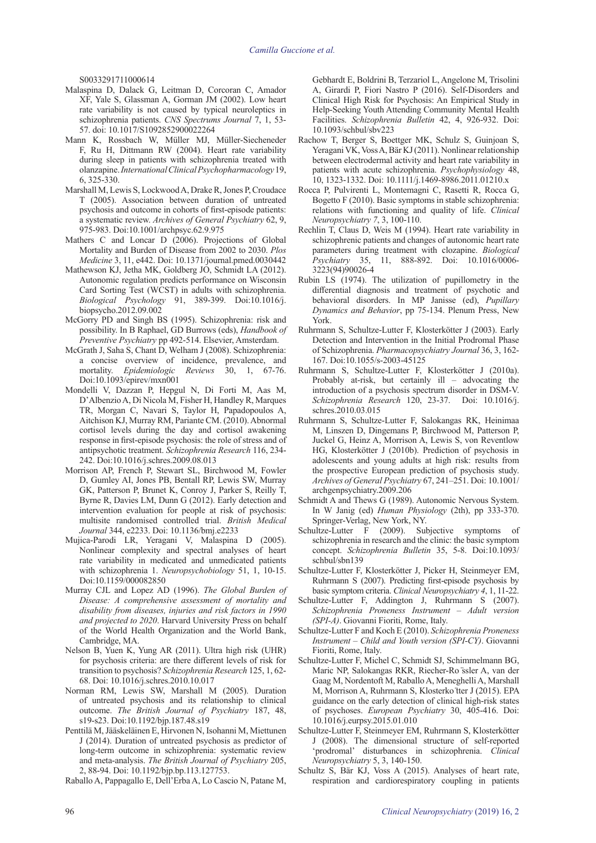S0033291711000614

- Malaspina D, Dalack G, Leitman D, Corcoran C, Amador XF, Yale S, Glassman A, Gorman JM (2002). Low heart rate variability is not caused by typical neuroleptics in schizophrenia patients. *CNS Spectrums Journal* 7, 1, 53- 57. doi: 10.1017/S1092852900022264
- Mann K, Rossbach W, Müller MJ, Müller-Siecheneder F, Ru H, Dittmann RW (2004). Heart rate variability during sleep in patients with schizophrenia treated with olanzapine. *International Clinical Psychopharmacology* 19, 6, 325-330.
- Marshall M, Lewis S, Lockwood A, Drake R, Jones P, Croudace T (2005). Association between duration of untreated psychosis and outcome in cohorts of first-episode patients: a systematic review. *Archives of General Psychiatry* 62, 9, 975-983. Doi:10.1001/archpsyc.62.9.975
- Mathers C and Loncar D (2006). Projections of Global Mortality and Burden of Disease from 2002 to 2030. *Plos Medicine* 3, 11, e442. Doi: 10.1371/journal.pmed.0030442
- Mathewson KJ, Jetha MK, Goldberg JO, Schmidt LA (2012). Autonomic regulation predicts performance on Wisconsin Card Sorting Test (WCST) in adults with schizophrenia. *Biological Psychology* 91, 389-399. Doi:10.1016/j. biopsycho.2012.09.002
- McGorry PD and Singh BS (1995). Schizophrenia: risk and possibility. In B Raphael, GD Burrows (eds), *Handbook of Preventive Psychiatry* pp 492-514. Elsevier, Amsterdam.
- McGrath J, Saha S, Chant D, Welham J (2008). Schizophrenia: a concise overview of incidence, prevalence, and mortality. *Epidemiologic Reviews* 30, 1, 67-76. Doi:10.1093/epirev/mxn001
- Mondelli V, Dazzan P, Hepgul N, Di Forti M, Aas M, D'Albenzio A, Di Nicola M, Fisher H, Handley R, Marques TR, Morgan C, Navari S, Taylor H, Papadopoulos A, Aitchison KJ, Murray RM, Pariante CM. (2010). Abnormal cortisol levels during the day and cortisol awakening response in first-episode psychosis: the role of stress and of antipsychotic treatment. *Schizophrenia Research* 116, 234- 242. Doi:10.1016/j.schres.2009.08.013
- Morrison AP, French P, Stewart SL, Birchwood M, Fowler D, Gumley AI, Jones PB, Bentall RP, Lewis SW, Murray GK, Patterson P, Brunet K, Conroy J, Parker S, Reilly T, Byrne R, Davies LM, Dunn G (2012). Early detection and intervention evaluation for people at risk of psychosis: multisite randomised controlled trial. *British Medical Journal* 344, e2233. Doi: 10.1136/bmj.e2233
- Mujica-Parodi LR, Yeragani V, Malaspina D (2005). Nonlinear complexity and spectral analyses of heart rate variability in medicated and unmedicated patients with schizophrenia 1. *Neuropsychobiology* 51, 1, 10-15. Doi:10.1159/000082850
- Murray CJL and Lopez AD (1996). *The Global Burden of Disease: A comprehensive assessment of mortality and disability from diseases, injuries and risk factors in 1990 and projected to 2020*. Harvard University Press on behalf of the World Health Organization and the World Bank, Cambridge, MA.
- Nelson B, Yuen K, Yung AR (2011). Ultra high risk (UHR) for psychosis criteria: are there different levels of risk for transition to psychosis? *Schizophrenia Research* 125, 1, 62- 68. Doi: 10.1016/j.schres.2010.10.017
- Norman RM, Lewis SW, Marshall M (2005). Duration of untreated psychosis and its relationship to clinical outcome. *The British Journal of Psychiatry* 187, 48, s19-s23. Doi:10.1192/bjp.187.48.s19
- Penttilä M, Jääskeläinen E, Hirvonen N, Isohanni M, Miettunen J (2014). Duration of untreated psychosis as predictor of long-term outcome in schizophrenia: systematic review and meta-analysis. *The British Journal of Psychiatry* 205, 2, 88-94. Doi: 10.1192/bjp.bp.113.127753.

Raballo A, Pappagallo E, Dell'Erba A, Lo Cascio N, Patane M,

Gebhardt E, Boldrini B, Terzariol L, Angelone M, Trisolini A, Girardi P, Fiori Nastro P (2016). Self-Disorders and Clinical High Risk for Psychosis: An Empirical Study in Help-Seeking Youth Attending Community Mental Health Facilities. *Schizophrenia Bulletin* 42, 4, 926-932. Doi: 10.1093/schbul/sbv223

- Rachow T, Berger S, Boettger MK, Schulz S, Guinjoan S, Yeragani VK, Voss A, Bär KJ (2011). Nonlinear relationship between electrodermal activity and heart rate variability in patients with acute schizophrenia. *Psychophysiology* 48, 10, 1323-1332. Doi: 10.1111/j.1469-8986.2011.01210.x
- Rocca P, Pulvirenti L, Montemagni C, Rasetti R, Rocca G, Bogetto F (2010). Basic symptoms in stable schizophrenia: relations with functioning and quality of life. *Clinical Neuropsychiatry 7*, 3, 100-110.
- Rechlin T, Claus D, Weis M (1994). Heart rate variability in schizophrenic patients and changes of autonomic heart rate parameters during treatment with clozapine. *Biological Psychiatry* 35, 11, 888-892. Doi: 10.1016/0006- 3223(94)90026-4
- Rubin LS (1974). The utilization of pupillometry in the differential diagnosis and treatment of psychotic and behavioral disorders. In MP Janisse (ed), *Pupillary Dynamics and Behavior*, pp 75-134. Plenum Press, New York.
- Ruhrmann S, Schultze-Lutter F, Klosterkötter J (2003). Early Detection and Intervention in the Initial Prodromal Phase of Schizophrenia. *Pharmacopsychiatry Journal* 36, 3, 162- 167. Doi:10.1055/s-2003-45125
- Ruhrmann S, Schultze-Lutter F, Klosterkötter J (2010a). Probably at-risk, but certainly ill – advocating the introduction of a psychosis spectrum disorder in DSM-V. *Schizophrenia Research* 120, 23-37. Doi: 10.1016/j. schres.2010.03.015
- Ruhrmann S, Schultze-Lutter F, Salokangas RK, Heinimaa M, Linszen D, Dingemans P, Birchwood M, Patterson P, Juckel G, Heinz A, Morrison A, Lewis S, von Reventlow HG, Klosterkötter J (2010b). Prediction of psychosis in adolescents and young adults at high risk: results from the prospective European prediction of psychosis study. *Archives of General Psychiatry* 67, 241–251. Doi: 10.1001/ archgenpsychiatry.2009.206
- Schmidt A and Thews G (1989). Autonomic Nervous System. In W Janig (ed) *Human Physiology* (2th), pp 333-370. Springer-Verlag, New York, NY.
- Schultze-Lutter F (2009). Subjective symptoms of schizophrenia in research and the clinic: the basic symptom concept. *Schizophrenia Bulletin* 35, 5-8. Doi:10.1093/ schbul/sbn139
- Schultze-Lutter F, Klosterkötter J, Picker H, Steinmeyer EM, Ruhrmann S (2007). Predicting first-episode psychosis by basic symptom criteria. *Clinical Neuropsychiatry 4*, 1, 11-22.
- Schultze-Lutter F, Addington J, Ruhrmann S (2007). *Schizophrenia Proneness Instrument – Adult version (SPI-A)*. Giovanni Fioriti, Rome, Italy.
- Schultze-Lutter F and Koch E (2010). *Schizophrenia Proneness Instrument – Child and Youth version (SPI-CY)*. Giovanni Fioriti, Rome, Italy.
- Schultze-Lutter F, Michel C, Schmidt SJ, Schimmelmann BG, Maric NP, Salokangas RKR, Riecher-Ro ̈ssler A, van der Gaag M, Nordentoft M, Raballo A, Meneghelli A, Marshall M, Morrison A, Ruhrmann S, Klosterko ̈tter J (2015). EPA guidance on the early detection of clinical high-risk states of psychoses. *European Psychiatry* 30, 405-416. Doi: 10.1016/j.eurpsy.2015.01.010
- Schultze-Lutter F, Steinmeyer EM, Ruhrmann S, Klosterkötter J (2008). The dimensional structure of self-reported 'prodromal' disturbances in schizophrenia. *Clinical Neuropsychiatry* 5, 3, 140-150.
- Schultz S, Bär KJ, Voss A (2015). Analyses of heart rate, respiration and cardiorespiratory coupling in patients